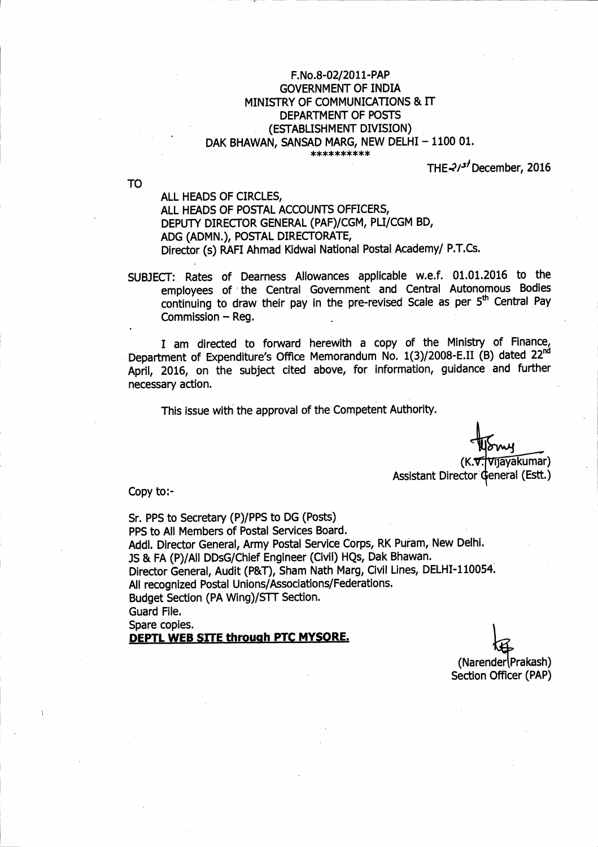## F.No.8-02/2011-PAP **GOVERNMENT OF INDIA** MINISTRY OF COMMUNICATIONS & IT DEPARTMENT OF POSTS (ESTABLISHMENT DIVISION) DAK BHAWAN, SANSAD MARG, NEW DELHI - 1100 01. \*\*\*\*\*\*\*\*\*\*

THE  $21<sup>5</sup>$  December, 2016

**TO** 

ALL HEADS OF CIRCLES, ALL HEADS OF POSTAL ACCOUNTS OFFICERS, DEPUTY DIRECTOR GENERAL (PAF)/CGM, PLI/CGM BD, ADG (ADMN.), POSTAL DIRECTORATE, Director (s) RAFI Ahmad Kidwai National Postal Academy/ P.T.Cs.

SUBJECT: Rates of Dearness Allowances applicable w.e.f. 01.01.2016 to the employees of the Central Government and Central Autonomous Bodies continuing to draw their pay in the pre-revised Scale as per 5<sup>th</sup> Central Pay Commission - Reg.

I am directed to forward herewith a copy of the Ministry of Finance, Department of Expenditure's Office Memorandum No. 1(3)/2008-E.II (B) dated 22nd April, 2016, on the subject cited above, for information, guidance and further necessary action.

This issue with the approval of the Competent Authority.

Vijayakumar)  $(K, \nabla)$ Assistant Director General (Estt.)

Copy to:-

Sr. PPS to Secretary (P)/PPS to DG (Posts) PPS to All Members of Postal Services Board. Addl. Director General, Army Postal Service Corps, RK Puram, New Delhi. JS & FA (P)/All DDsG/Chief Engineer (Civil) HQs, Dak Bhawan. Director General, Audit (P&T), Sham Nath Marg, Civil Lines, DELHI-110054. All recognized Postal Unions/Associations/Federations. Budget Section (PA Wing)/STT Section. Guard File. Spare copies. DEPTL WEB SITE through PTC MYSORE.

(Narender | Prakash) Section Officer (PAP)